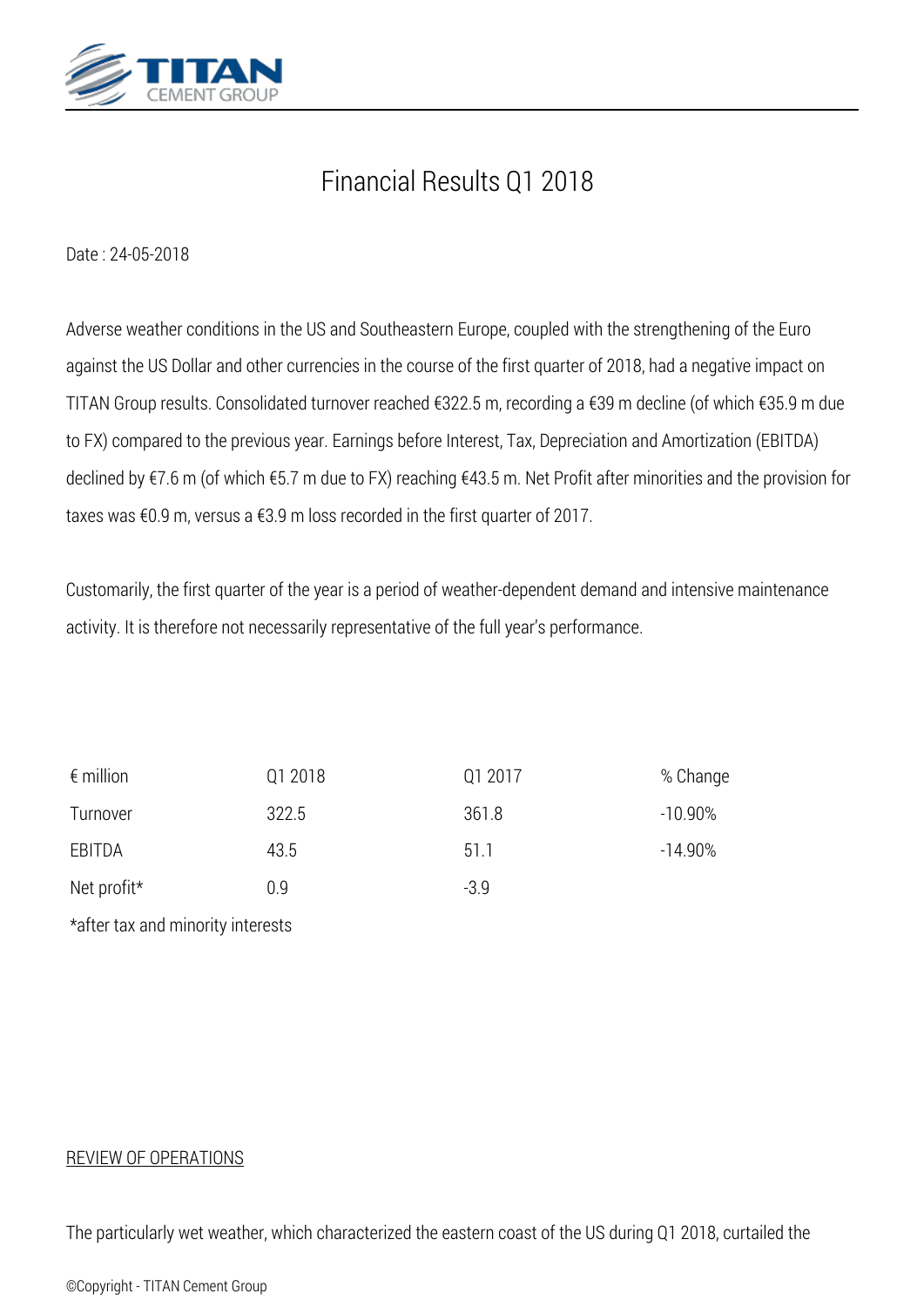

## *Financial Results Q1 2018*

*Date : 24-05-2018*

*Adverse weather conditions in the US and Southeastern Europe, coupled with the strengthening of the Euro against the US Dollar and other currencies in the course of the first quarter of 2018, had a negative impact on ΤΙΤΑΝ Group results. Consolidated turnover reached €322.5 m, recording a €39 m decline (of which €35.9 m due to FX) compared to the previous year. Earnings before Interest, Tax, Depreciation and Amortization (EBITDA) declined by €7.6 m (of which €5.7 m due to FX) reaching €43.5 m. Net Profit after minorities and the provision for taxes was €0.9 m, versus a €3.9 m loss recorded in the first quarter of 2017.*

*Customarily, the first quarter of the year is a period of weather-dependent demand and intensive maintenance activity. It is therefore not necessarily representative of the full year's performance.*

| $\epsilon$ million                | Q1 2018 | Q1 2017 | % Change   |
|-----------------------------------|---------|---------|------------|
| Turnover                          | 322.5   | 361.8   | $-10.90\%$ |
| EBITDA                            | 43.5    | 51.1    | $-14.90\%$ |
| Net profit*                       | 0.9     | $-3.9$  |            |
| *after tax and minority interests |         |         |            |

## *REVIEW OF OPERATIONS*

*The particularly wet weather, which characterized the eastern coast of the US during Q1 2018, curtailed the*

*©Copyright - TITAN Cement Group*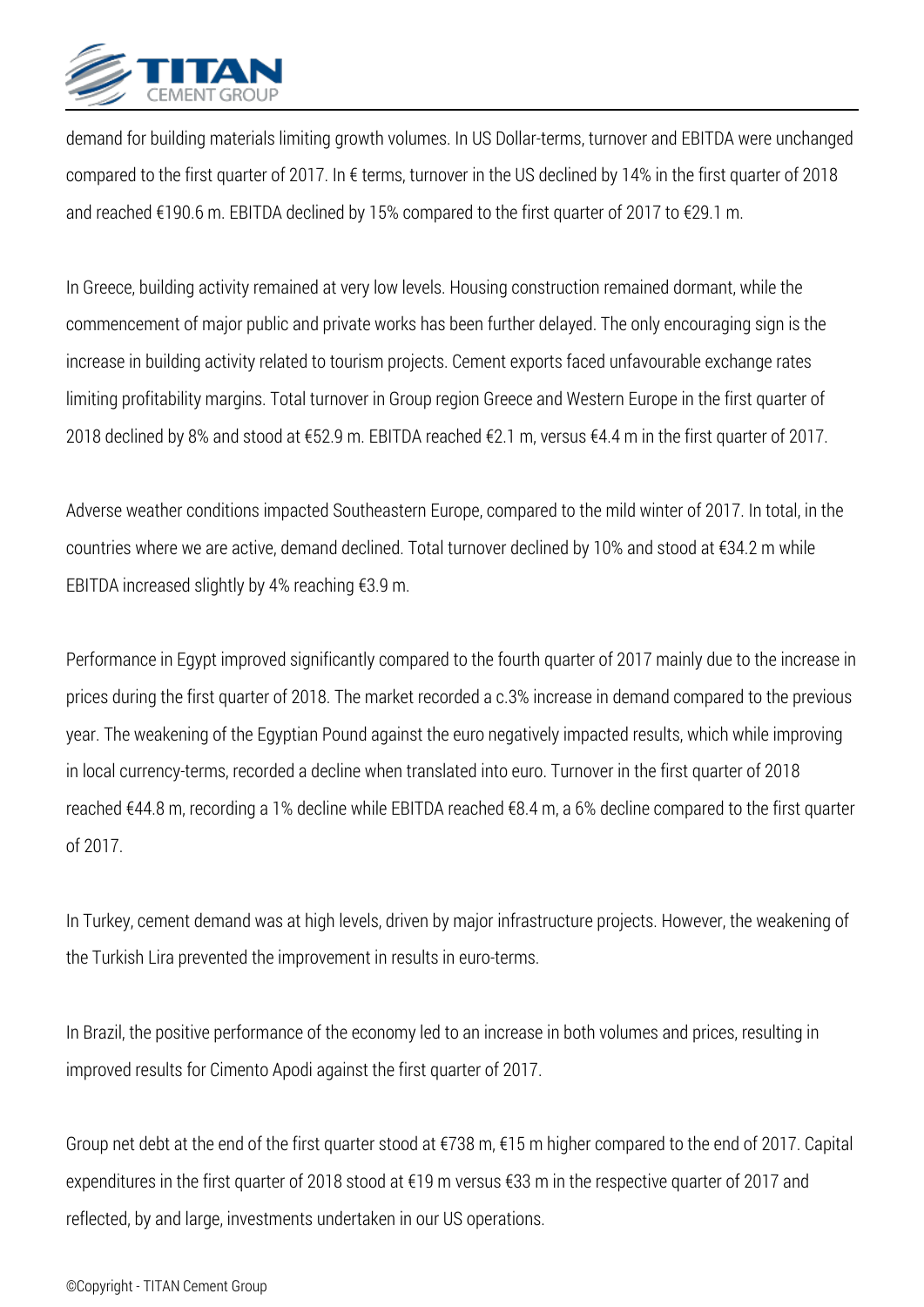

*demand for building materials limiting growth volumes. In US Dollar-terms, turnover and EBITDA were unchanged compared to the first quarter of 2017. In € terms, turnover in the US declined by 14% in the first quarter of 2018 and reached €190.6 m. EBITDA declined by 15% compared to the first quarter of 2017 to €29.1 m.*

*In Greece, building activity remained at very low levels. Housing construction remained dormant, while the commencement of major public and private works has been further delayed. The only encouraging sign is the increase in building activity related to tourism projects. Cement exports faced unfavourable exchange rates limiting profitability margins. Total turnover in Group region Greece and Western Europe in the first quarter of 2018 declined by 8% and stood at €52.9 m. EBITDA reached €2.1 m, versus €4.4 m in the first quarter of 2017.*

*Adverse weather conditions impacted Southeastern Europe, compared to the mild winter of 2017. In total, in the countries where we are active, demand declined. Total turnover declined by 10% and stood at €34.2 m while EBITDA increased slightly by 4% reaching €3.9 m.*

*Performance in Egypt improved significantly compared to the fourth quarter of 2017 mainly due to the increase in prices during the first quarter of 2018. The market recorded a c.3% increase in demand compared to the previous year. The weakening of the Egyptian Pound against the euro negatively impacted results, which while improving in local currency-terms, recorded a decline when translated into euro. Turnover in the first quarter of 2018 reached €44.8 m, recording a 1% decline while EBITDA reached €8.4 m, a 6% decline compared to the first quarter of 2017.*

*In Turkey, cement demand was at high levels, driven by major infrastructure projects. However, the weakening of the Turkish Lira prevented the improvement in results in euro-terms.*

*In Brazil, the positive performance of the economy led to an increase in both volumes and prices, resulting in improved results for Cimento Apodi against the first quarter of 2017.*

*Group net debt at the end of the first quarter stood at €738 m, €15 m higher compared to the end of 2017. Capital expenditures in the first quarter of 2018 stood at €19 m versus €33 m in the respective quarter of 2017 and reflected, by and large, investments undertaken in our US operations.*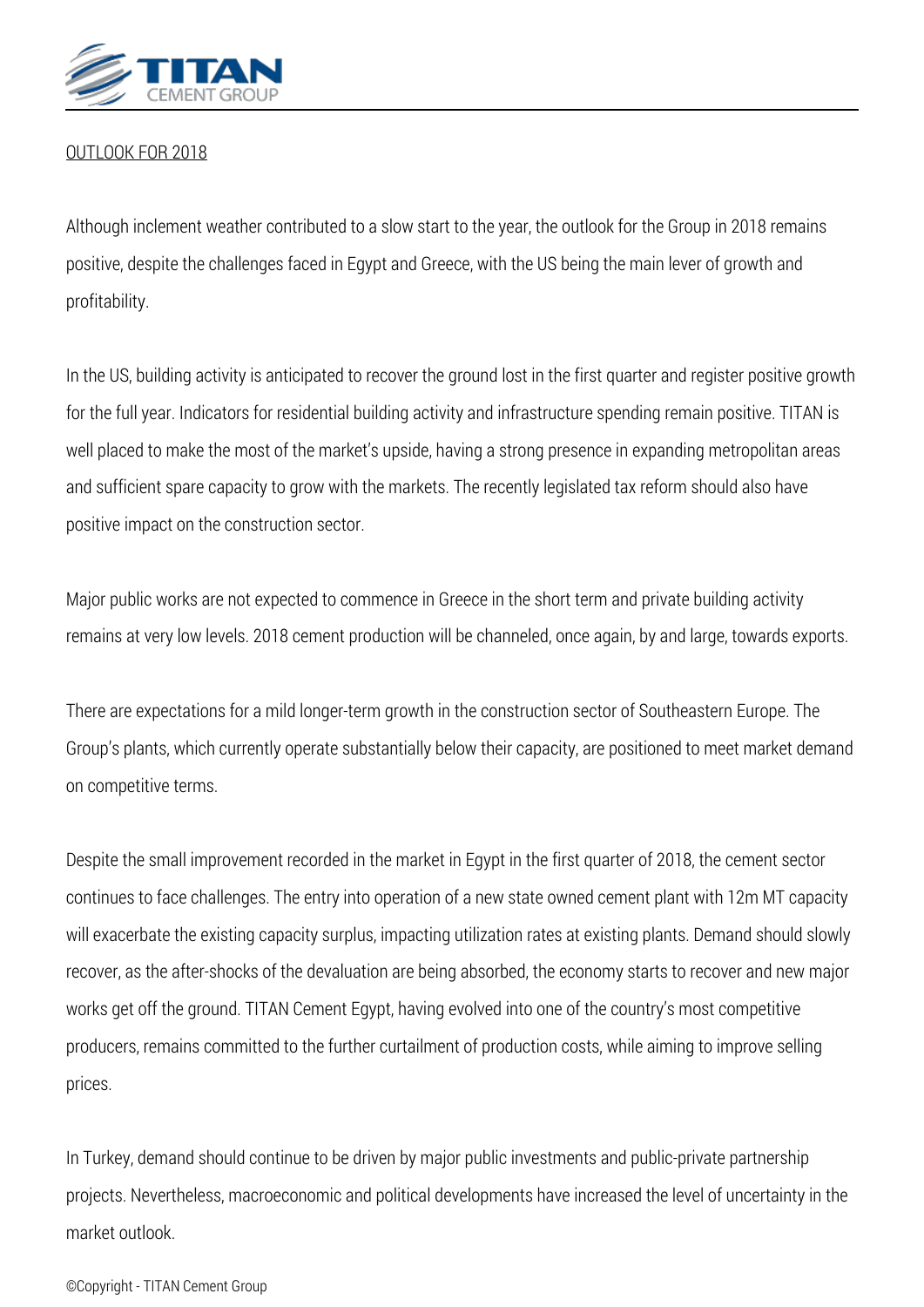

## *OUTLOOK FOR 2018*

*Although inclement weather contributed to a slow start to the year, the outlook for the Group in 2018 remains positive, despite the challenges faced in Egypt and Greece, with the US being the main lever of growth and profitability.*

*In the US, building activity is anticipated to recover the ground lost in the first quarter and register positive growth for the full year. Indicators for residential building activity and infrastructure spending remain positive. TITAN is well placed to make the most of the market's upside, having a strong presence in expanding metropolitan areas and sufficient spare capacity to grow with the markets. The recently legislated tax reform should also have positive impact on the construction sector.*

*Major public works are not expected to commence in Greece in the short term and private building activity remains at very low levels. 2018 cement production will be channeled, once again, by and large, towards exports.*

*There are expectations for a mild longer-term growth in the construction sector of Southeastern Europe. The Group's plants, which currently operate substantially below their capacity, are positioned to meet market demand on competitive terms.*

*Despite the small improvement recorded in the market in Egypt in the first quarter of 2018, the cement sector continues to face challenges. The entry into operation of a new state owned cement plant with 12m MT capacity will exacerbate the existing capacity surplus, impacting utilization rates at existing plants. Demand should slowly recover, as the after-shocks of the devaluation are being absorbed, the economy starts to recover and new major works get off the ground. TITAN Cement Egypt, having evolved into one of the country's most competitive producers, remains committed to the further curtailment of production costs, while aiming to improve selling prices.*

*In Turkey, demand should continue to be driven by major public investments and public-private partnership projects. Nevertheless, macroeconomic and political developments have increased the level of uncertainty in the market outlook.*